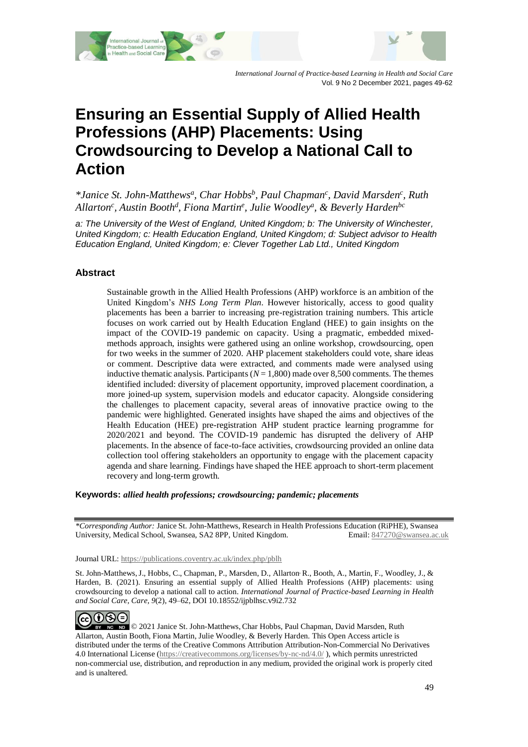



*International Journal of Practice-based Learning in Health and Social Care* Vol. 9 No 2 December 2021, pages 49-62

# **Ensuring an Essential Supply of Allied Health Professions (AHP) Placements: Using Crowdsourcing to Develop a National Call to Action**

*\*Janice St. John-Matthews<sup>a</sup> , Char Hobbs<sup>b</sup> , Paul Chapman<sup>c</sup> , David Marsden<sup>c</sup> , Ruth Allarton<sup>c</sup> , Austin Booth<sup>d</sup> , Fiona Martin<sup>e</sup> , Julie Woodley<sup>a</sup> , & Beverly Hardenbc*

*a: The University of the West of England, United Kingdom; b: The University of Winchester, United Kingdom; c: Health Education England, United Kingdom; d: Subject advisor to Health Education England, United Kingdom; e: Clever Together Lab Ltd., United Kingdom*

# **Abstract**

Sustainable growth in the Allied Health Professions (AHP) workforce is an ambition of the United Kingdom's *NHS Long Term Plan*. However historically, access to good quality placements has been a barrier to increasing pre-registration training numbers. This article focuses on work carried out by Health Education England (HEE) to gain insights on the impact of the COVID-19 pandemic on capacity. Using a pragmatic, embedded mixedmethods approach, insights were gathered using an online workshop, crowdsourcing, open for two weeks in the summer of 2020. AHP placement stakeholders could vote, share ideas or comment. Descriptive data were extracted, and comments made were analysed using inductive thematic analysis. Participants  $(N = 1,800)$  made over 8,500 comments. The themes identified included: diversity of placement opportunity, improved placement coordination, a more joined-up system, supervision models and educator capacity. Alongside considering the challenges to placement capacity, several areas of innovative practice owing to the pandemic were highlighted. Generated insights have shaped the aims and objectives of the Health Education (HEE) pre-registration AHP student practice learning programme for 2020/2021 and beyond. The COVID-19 pandemic has disrupted the delivery of AHP placements. In the absence of face-to-face activities, crowdsourcing provided an online data collection tool offering stakeholders an opportunity to engage with the placement capacity agenda and share learning. Findings have shaped the HEE approach to short-term placement recovery and long-term growth.

**Keywords:** *allied health professions; crowdsourcing; pandemic; placements*

*\*Corresponding Author:* Janice St. John-Matthews, Research in Health Professions Education (RiPHE), Swansea University, Medical School, Swansea, SA2 8PP, United Kingdom. Email: [847270@swansea.ac.uk](mailto:847270@swansea.ac.uk)

Journal URL: https://publications.coventry.ac.uk/index.php/pblh

St. John-Matthews,J., Hobbs, C., Chapman, P., Marsden, D., Allarton, R., Booth, A., Martin, F., Woodley, J., & Harden, B. (2021). Ensuring an essential supply of Allied Health Professions (AHP) placements: using crowdsourcing to develop a national call to action. *International Journal of Practice-based Learning in Health and Social Care*, *Care, 9*(2), 49–62, DOI 10.18552/ijpblhsc.v9i2.732



© 2021 Janice St. John-Matthews, Char Hobbs, Paul Chapman, David Marsden, Ruth Allarton, Austin Booth, Fiona Martin, Julie Woodley, & Beverly Harden. This Open Access article is distributed under the terms of the Creative Commons Attribution Attribution-Non-Commercial No Derivatives 4.0 International License [\(https://creativecommons.org/licenses/by-nc-nd/4.0/](https://creativecommons.org/licenses/by-nc-nd/4.0/) ), which permits unrestricted non-commercial use, distribution, and reproduction in any medium, provided the original work is properly cited and is unaltered.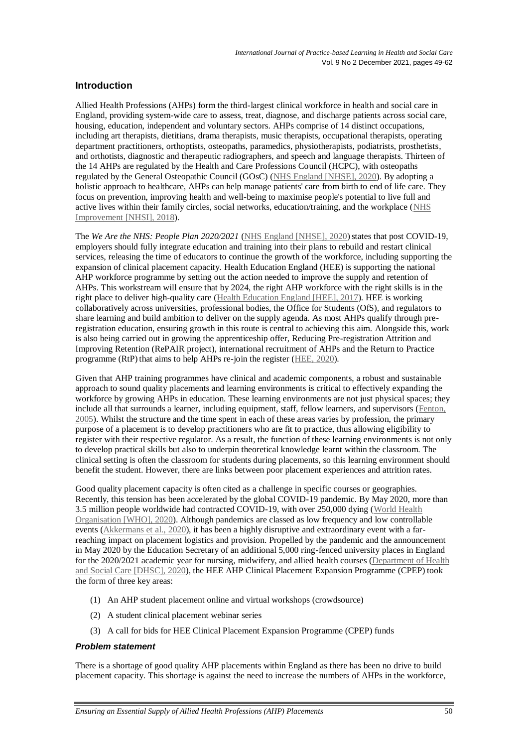# **Introduction**

Allied Health Professions (AHPs) form the third-largest clinical workforce in health and social care in England, providing system-wide care to assess, treat, diagnose, and discharge patients across social care, housing, education, independent and voluntary sectors. AHPs comprise of 14 distinct occupations, including art therapists, dietitians, drama therapists, music therapists, occupational therapists, operating department practitioners, orthoptists, osteopaths, paramedics, physiotherapists, podiatrists, prosthetists, and orthotists, diagnostic and therapeutic radiographers, and speech and language therapists. Thirteen of the 14 AHPs are regulated by the Health and Care Professions Council (HCPC), with osteopaths regulated by the General Osteopathic Council (GOsC) [\(NHS England \[NHSE\], 2020\)](#page-13-0). By adopting a holistic approach to healthcare, AHPs can help manage patients' care from birth to end of life care. They focus on prevention, improving health and well-being to maximise people's potential to live full and active lives within their family circles, social networks, education/training, and the workplace [\(NHS](#page-13-1)  [Improvement \[NHSI\], 2018\)](#page-13-1).

The *We Are the NHS: People Plan 2020/2021* [\(NHS England \[NHSE\], 2020\)](#page-13-0) states that post COVID-19, employers should fully integrate education and training into their plans to rebuild and restart clinical services, releasing the time of educators to continue the growth of the workforce, including supporting the expansion of clinical placement capacity. Health Education England (HEE) is supporting the national AHP workforce programme by setting out the action needed to improve the supply and retention of AHPs. This workstream will ensure that by 2024, the right AHP workforce with the right skills is in the right place to deliver high-quality care [\(Health Education England \[HEE\], 2017\)](#page-13-2). HEE is working collaboratively across universities, professional bodies, the Office for Students (OfS), and regulators to share learning and build ambition to deliver on the supply agenda. As most AHPs qualify through preregistration education, ensuring growth in this route is central to achieving this aim. Alongside this, work is also being carried out in growing the apprenticeship offer, Reducing Pre-registration Attrition and Improving Retention (RePAIR project), international recruitment of AHPs and the Return to Practice programme (RtP) that aims to help AHPs re-join the register [\(HEE, 2020\)](#page-13-3).

Given that AHP training programmes have clinical and academic components, a robust and sustainable approach to sound quality placements and learning environments is critical to effectively expanding the workforce by growing AHPs in education. These learning environments are not just physical spaces; they include all that surrounds a learner, including equipment, staff, fellow learners, and supervisors [\(Fenton,](#page-13-4)  [2005\)](#page-13-4). Whilst the structure and the time spent in each of these areas varies by profession, the primary purpose of a placement is to develop practitioners who are fit to practice, thus allowing eligibility to register with their respective regulator. As a result, the function of these learning environments is not only to develop practical skills but also to underpin theoretical knowledge learnt within the classroom. The clinical setting is often the classroom for students during placements, so this learning environment should benefit the student. However, there are links between poor placement experiences and attrition rates.

Good quality placement capacity is often cited as a challenge in specific courses or geographies. Recently, this tension has been accelerated by the global COVID-19 pandemic. By May 2020, more than 3.5 million people worldwide had contracted COVID-19, with over 250,000 dying (World Health [Organisation \[WHO\], 2020\)](#page-13-5). Although pandemics are classed as low frequency and low controllable events [\(Akkermans et al.,](#page-12-0) 2020), it has been a highly disruptive and extraordinary event with a farreaching impact on placement logistics and provision. Propelled by the pandemic and the announcement in May 2020 by the Education Secretary of an additional 5,000 ring-fenced university places in England for the 2020/2021 academic year for nursing, midwifery, and allied health courses [\(Department of Health](#page-13-6)  [and Social Care \[DHSC\], 2020\)](#page-13-6), the HEE AHP Clinical Placement Expansion Programme (CPEP) took the form of three key areas:

- (1) An AHP student placement online and virtual workshops (crowdsource)
- (2) A student clinical placement webinar series
- (3) A call for bids for HEE Clinical Placement Expansion Programme (CPEP) funds

## *Problem statement*

There is a shortage of good quality AHP placements within England as there has been no drive to build placement capacity. This shortage is against the need to increase the numbers of AHPs in the workforce,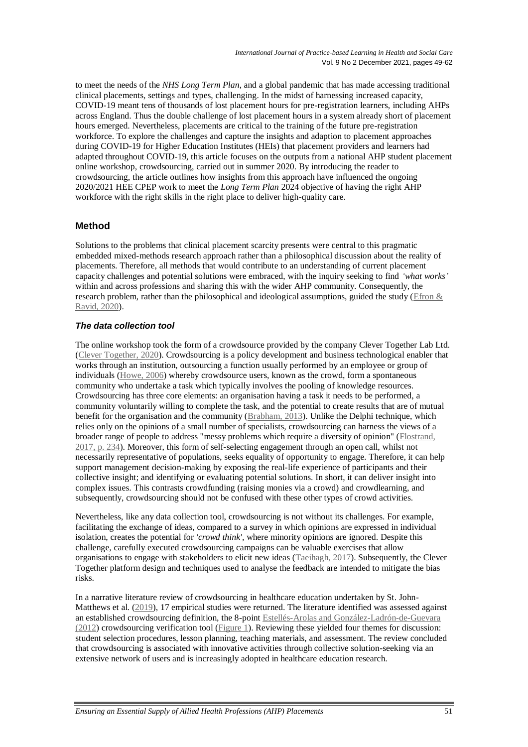to meet the needs of the *NHS Long Term Plan*, and a global pandemic that has made accessing traditional clinical placements, settings and types, challenging. In the midst of harnessing increased capacity, COVID-19 meant tens of thousands of lost placement hours for pre-registration learners, including AHPs across England. Thus the double challenge of lost placement hours in a system already short of placement hours emerged. Nevertheless, placements are critical to the training of the future pre-registration workforce. To explore the challenges and capture the insights and adaption to placement approaches during COVID-19 for Higher Education Institutes (HEIs) that placement providers and learners had adapted throughout COVID-19, this article focuses on the outputs from a national AHP student placement online workshop, crowdsourcing, carried out in summer 2020. By introducing the reader to crowdsourcing, the article outlines how insights from this approach have influenced the ongoing 2020/2021 HEE CPEP work to meet the *Long Term Plan* 2024 objective of having the right AHP workforce with the right skills in the right place to deliver high-quality care.

# **Method**

Solutions to the problems that clinical placement scarcity presents were central to this pragmatic embedded mixed-methods research approach rather than a philosophical discussion about the reality of placements. Therefore, all methods that would contribute to an understanding of current placement capacity challenges and potential solutions were embraced, with the inquiry seeking to find *'what works'* within and across professions and sharing this with the wider AHP community. Consequently, the research problem, rather than the philosophical and ideological assumptions, guided the study ( $E$ fron  $&$ [Ravid, 2020\)](#page-13-7).

# *The data collection tool*

The online workshop took the form of a crowdsource provided by the company Clever Together Lab Ltd. [\(Clever Together, 2020\)](#page-13-8). Crowdsourcing is a policy development and business technological enabler that works through an institution, outsourcing a function usually performed by an employee or group of individuals [\(Howe, 2006\)](#page-13-9) whereby crowdsource users, known as the crowd, form a spontaneous community who undertake a task which typically involves the pooling of knowledge resources. Crowdsourcing has three core elements: an organisation having a task it needs to be performed, a community voluntarily willing to complete the task, and the potential to create results that are of mutual benefit for the organisation and the community [\(Brabham, 2013\)](#page-13-10). Unlike the Delphi technique, which relies only on the opinions of a small number of specialists, crowdsourcing can harness the views of a broader range of people to address "messy problems which require a diversity of opinion" [\(Flostrand,](#page-13-4)  [2017,](#page-13-4) p. 234). Moreover, this form of self-selecting engagement through an open call, whilst not necessarily representative of populations, seeks equality of opportunity to engage. Therefore, it can help support management decision-making by exposing the real-life experience of participants and their collective insight; and identifying or evaluating potential solutions. In short, it can deliver insight into complex issues. This contrasts crowdfunding (raising monies via a crowd) and crowdlearning, and subsequently, crowdsourcing should not be confused with these other types of crowd activities.

Nevertheless, like any data collection tool, crowdsourcing is not without its challenges. For example, facilitating the exchange of ideas, compared to a survey in which opinions are expressed in individual isolation, creates the potential for *'crowd think',* where minority opinions are ignored. Despite this challenge, carefully executed crowdsourcing campaigns can be valuable exercises that allow organisations to engage with stakeholders to elicit new ideas [\(Taeihagh, 2017\)](#page-13-11). Subsequently, the Clever Together platform design and techniques used to analyse the feedback are intended to mitigate the bias risks.

In a narrative literature review of crowdsourcing in healthcare education undertaken by St. John-Matthews et al. [\(2019\)](#page-13-12), 17 empirical studies were returned. The literature identified was assessed against an established crowdsourcing definition, the 8-point [Estellés-Arolas and González-Ladrón-de-Guevara](#page-13-13)  [\(2012\)](#page-13-13) crowdsourcing verification tool [\(Figure 1\)](#page-3-0). Reviewing these yielded four themes for discussion: student selection procedures, lesson planning, teaching materials, and assessment. The review concluded that crowdsourcing is associated with innovative activities through collective solution-seeking via an extensive network of users and is increasingly adopted in healthcare education research.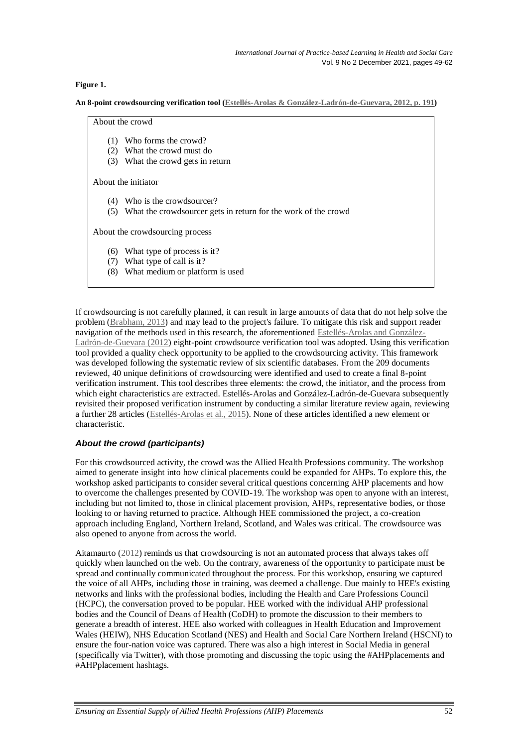## <span id="page-3-0"></span>**Figure 1.**

**An 8-point crowdsourcing verification tool [\(Estellés-Arolas & González-Ladrón-de-Guevara,](#page-13-13) 2012, p. 191)**

About the crowd

- (1) Who forms the crowd?
- (2) What the crowd must do
- (3) What the crowd gets in return

About the initiator

- (4) Who is the crowdsourcer?
- (5) What the crowdsourcer gets in return for the work of the crowd

About the crowdsourcing process

- (6) What type of process is it?
- (7) What type of call is it?
- (8) What medium or platform is used

If crowdsourcing is not carefully planned, it can result in large amounts of data that do not help solve the problem [\(Brabham, 2013\)](#page-13-10) and may lead to the project's failure. To mitigate this risk and support reader navigation of the methods used in this research, the aforementioned [Estellés-Arolas and González-](#page-13-13)[Ladrón-de-Guevara \(2012\)](#page-13-13) eight-point crowdsource verification tool was adopted. Using this verification tool provided a quality check opportunity to be applied to the crowdsourcing activity. This framework was developed following the systematic review of six scientific databases. From the 209 documents reviewed, 40 unique definitions of crowdsourcing were identified and used to create a final 8-point verification instrument. This tool describes three elements: the crowd, the initiator, and the process from which eight characteristics are extracted. Estellés-Arolas and González-Ladrón-de-Guevara subsequently revisited their proposed verification instrument by conducting a similar literature review again, reviewing a further 28 articles [\(Estellés-Arolas et al., 2015\)](#page-13-4). None of these articles identified a new element or characteristic.

## *About the crowd (participants)*

For this crowdsourced activity, the crowd was the Allied Health Professions community. The workshop aimed to generate insight into how clinical placements could be expanded for AHPs. To explore this, the workshop asked participants to consider several critical questions concerning AHP placements and how to overcome the challenges presented by COVID-19. The workshop was open to anyone with an interest, including but not limited to, those in clinical placement provision, AHPs, representative bodies, or those looking to or having returned to practice. Although HEE commissioned the project, a co-creation approach including England, Northern Ireland, Scotland, and Wales was critical. The crowdsource was also opened to anyone from across the world.

Aitamaurto [\(2012\)](#page-12-1) reminds us that crowdsourcing is not an automated process that always takes off quickly when launched on the web. On the contrary, awareness of the opportunity to participate must be spread and continually communicated throughout the process. For this workshop, ensuring we captured the voice of all AHPs, including those in training, was deemed a challenge. Due mainly to HEE's existing networks and links with the professional bodies, including the Health and Care Professions Council (HCPC), the conversation proved to be popular. HEE worked with the individual AHP professional bodies and the Council of Deans of Health (CoDH) to promote the discussion to their members to generate a breadth of interest. HEE also worked with colleagues in Health Education and Improvement Wales (HEIW), NHS Education Scotland (NES) and Health and Social Care Northern Ireland (HSCNI) to ensure the four-nation voice was captured. There was also a high interest in Social Media in general (specifically via Twitter), with those promoting and discussing the topic using the #AHPplacements and #AHPplacement hashtags.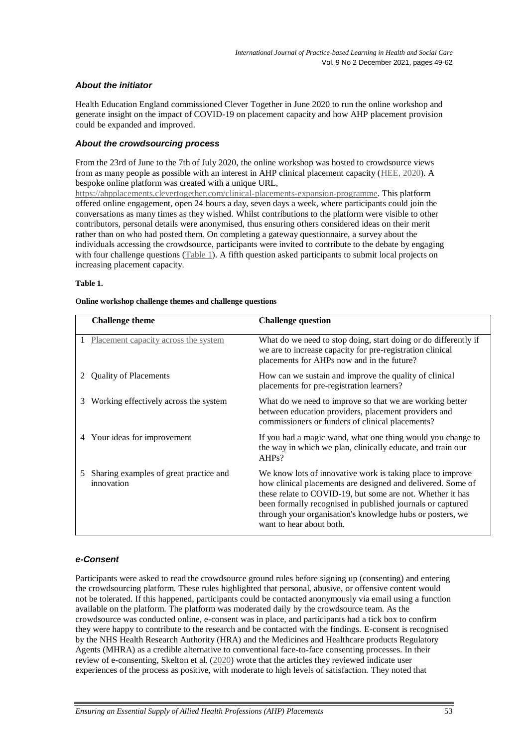# *About the initiator*

Health Education England commissioned Clever Together in June 2020 to run the online workshop and generate insight on the impact of COVID-19 on placement capacity and how AHP placement provision could be expanded and improved.

## *About the crowdsourcing process*

From the 23rd of June to the 7th of July 2020, the online workshop was hosted to crowdsource views from as many people as possible with an interest in AHP clinical placement capacity [\(HEE, 2020\)](#page-13-3). A bespoke online platform was created with a unique URL,

[https://ahpplacements.clevertogether.com/clinical-placements-expansion-programme.](https://eur01.safelinks.protection.outlook.com/?url=https%3A%2F%2Fahpplacements.clevertogether.com%2Fclinical-placements-expansion-programme&data=02%7C01%7CJanice.Stjohn-matthews%40uwe.ac.uk%7Cbf57eadef8b246b411c508d81cfdc044%7C07ef1208413c4b5e9cdd64ef305754f0%7C0%7C0%7C637291223742069463&sdata=i1XwMwCL5kqFQMSyawYuFQZOcvYIzJV730ZUydHm8Yg%3D&reserved=0) This platform offered online engagement, open 24 hours a day, seven days a week, where participants could join the conversations as many times as they wished. Whilst contributions to the platform were visible to other contributors, personal details were anonymised, thus ensuring others considered ideas on their merit rather than on who had posted them. On completing a gateway questionnaire, a survey about the individuals accessing the crowdsource, participants were invited to contribute to the debate by engaging with four challenge questions [\(Table 1\)](#page-4-0). A fifth question asked participants to submit local projects on increasing placement capacity.

#### <span id="page-4-0"></span>**Table 1.**

|   | <b>Challenge theme</b>                               | <b>Challenge question</b>                                                                                                                                                                                                                                                                                                                      |
|---|------------------------------------------------------|------------------------------------------------------------------------------------------------------------------------------------------------------------------------------------------------------------------------------------------------------------------------------------------------------------------------------------------------|
|   | Placement capacity across the system                 | What do we need to stop doing, start doing or do differently if<br>we are to increase capacity for pre-registration clinical<br>placements for AHPs now and in the future?                                                                                                                                                                     |
|   | <b>Quality of Placements</b>                         | How can we sustain and improve the quality of clinical<br>placements for pre-registration learners?                                                                                                                                                                                                                                            |
| 3 | Working effectively across the system                | What do we need to improve so that we are working better<br>between education providers, placement providers and<br>commissioners or funders of clinical placements?                                                                                                                                                                           |
| 4 | Your ideas for improvement                           | If you had a magic wand, what one thing would you change to<br>the way in which we plan, clinically educate, and train our<br>AHPs?                                                                                                                                                                                                            |
| 5 | Sharing examples of great practice and<br>innovation | We know lots of innovative work is taking place to improve<br>how clinical placements are designed and delivered. Some of<br>these relate to COVID-19, but some are not. Whether it has<br>been formally recognised in published journals or captured<br>through your organisation's knowledge hubs or posters, we<br>want to hear about both. |

#### **Online workshop challenge themes and challenge questions**

## *e-Consent*

Participants were asked to read the crowdsource ground rules before signing up (consenting) and entering the crowdsourcing platform. These rules highlighted that personal, abusive, or offensive content would not be tolerated. If this happened, participants could be contacted anonymously via email using a function available on the platform. The platform was moderated daily by the crowdsource team. As the crowdsource was conducted online, e-consent was in place, and participants had a tick box to confirm they were happy to contribute to the research and be contacted with the findings. E-consent is recognised by the NHS Health Research Authority (HRA) and the Medicines and Healthcare products Regulatory Agents (MHRA) as a credible alternative to conventional face-to-face consenting processes. In their review of e-consenting, Skelton et al. [\(2020\)](#page-13-14) wrote that the articles they reviewed indicate user experiences of the process as positive, with moderate to high levels of satisfaction. They noted that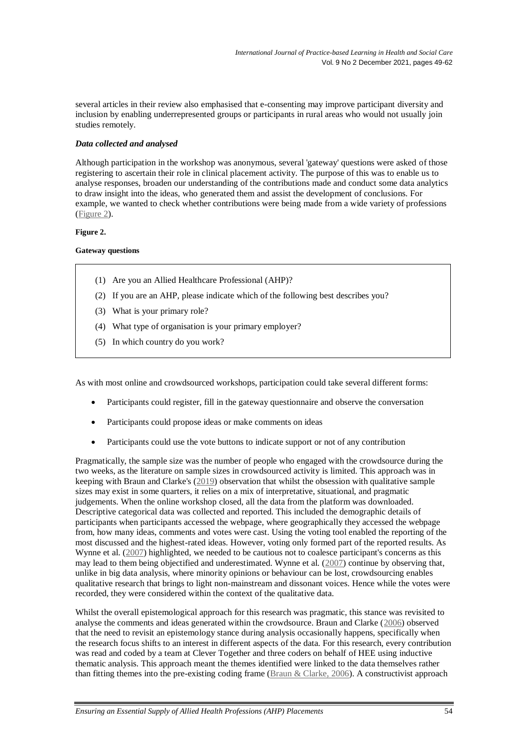several articles in their review also emphasised that e-consenting may improve participant diversity and inclusion by enabling underrepresented groups or participants in rural areas who would not usually join studies remotely.

## *Data collected and analysed*

Although participation in the workshop was anonymous, several 'gateway' questions were asked of those registering to ascertain their role in clinical placement activity. The purpose of this was to enable us to analyse responses, broaden our understanding of the contributions made and conduct some data analytics to draw insight into the ideas, who generated them and assist the development of conclusions. For example, we wanted to check whether contributions were being made from a wide variety of professions [\(Figure 2\)](#page-5-0).

#### <span id="page-5-0"></span>**Figure 2.**

## **Gateway questions**

- (1) Are you an Allied Healthcare Professional (AHP)?
- (2) If you are an AHP, please indicate which of the following best describes you?
- (3) What is your primary role?
- (4) What type of organisation is your primary employer?
- (5) In which country do you work?

As with most online and crowdsourced workshops, participation could take several different forms:

- Participants could register, fill in the gateway questionnaire and observe the conversation
- Participants could propose ideas or make comments on ideas
- Participants could use the vote buttons to indicate support or not of any contribution

Pragmatically, the sample size was the number of people who engaged with the crowdsource during the two weeks, as the literature on sample sizes in crowdsourced activity is limited. This approach was in keeping with Braun and Clarke's [\(2019\)](#page-13-15) observation that whilst the obsession with qualitative sample sizes may exist in some quarters, it relies on a mix of interpretative, situational, and pragmatic judgements. When the online workshop closed, all the data from the platform was downloaded. Descriptive categorical data was collected and reported. This included the demographic details of participants when participants accessed the webpage, where geographically they accessed the webpage from, how many ideas, comments and votes were cast. Using the voting tool enabled the reporting of the most discussed and the highest-rated ideas. However, voting only formed part of the reported results. As Wynne et al. [\(2007\)](#page-13-16) highlighted, we needed to be cautious not to coalesce participant's concerns as this may lead to them being objectified and underestimated. Wynne et al. [\(2007\)](#page-13-16) continue by observing that, unlike in big data analysis, where minority opinions or behaviour can be lost, crowdsourcing enables qualitative research that brings to light non-mainstream and dissonant voices. Hence while the votes were recorded, they were considered within the context of the qualitative data.

Whilst the overall epistemological approach for this research was pragmatic, this stance was revisited to analyse the comments and ideas generated within the crowdsource. Braun and Clarke [\(2006\)](#page-13-15) observed that the need to revisit an epistemology stance during analysis occasionally happens, specifically when the research focus shifts to an interest in different aspects of the data. For this research, every contribution was read and coded by a team at Clever Together and three coders on behalf of HEE using inductive thematic analysis. This approach meant the themes identified were linked to the data themselves rather than fitting themes into the pre-existing coding frame [\(Braun & Clarke, 2006\)](#page-13-15). A constructivist approach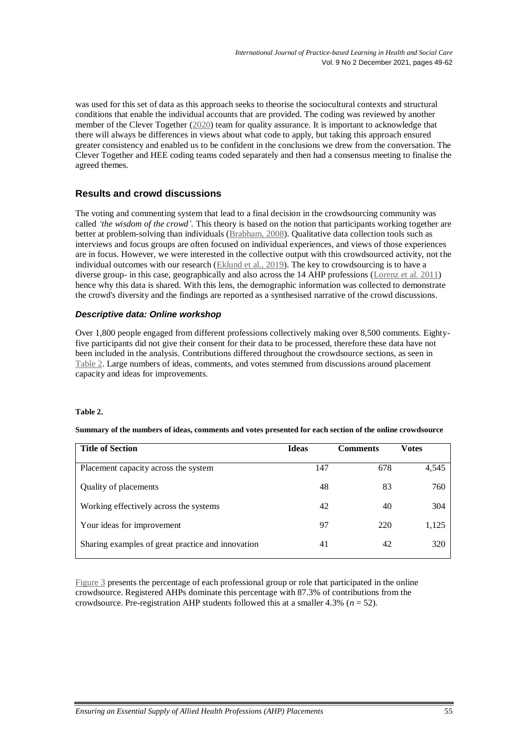was used for this set of data as this approach seeks to theorise the sociocultural contexts and structural conditions that enable the individual accounts that are provided. The coding was reviewed by another member of the Clever Together [\(2020\)](#page-13-8) team for quality assurance. It is important to acknowledge that there will always be differences in views about what code to apply, but taking this approach ensured greater consistency and enabled us to be confident in the conclusions we drew from the conversation. The Clever Together and HEE coding teams coded separately and then had a consensus meeting to finalise the agreed themes.

# **Results and crowd discussions**

The voting and commenting system that lead to a final decision in the crowdsourcing community was called *'the wisdom of the crowd'.* This theory is based on the notion that participants working together are better at problem-solving than individuals [\(Brabham, 2008\)](#page-12-0). Qualitative data collection tools such as interviews and focus groups are often focused on individual experiences, and views of those experiences are in focus. However, we were interested in the collective output with this crowdsourced activity, not the individual outcomes with our research [\(Eklund et al., 2019\)](#page-13-17). The key to crowdsourcing is to have a diverse group- in this case, geographically and also across the 14 AHP professions [\(Lorenz et al. 2011\)](#page-13-18) hence why this data is shared. With this lens, the demographic information was collected to demonstrate the crowd's diversity and the findings are reported as a synthesised narrative of the crowd discussions.

# *Descriptive data: Online workshop*

Over 1,800 people engaged from different professions collectively making over 8,500 comments. Eightyfive participants did not give their consent for their data to be processed, therefore these data have not been included in the analysis. Contributions differed throughout the crowdsource sections, as seen in [Table 2.](#page-6-0) Large numbers of ideas, comments, and votes stemmed from discussions around placement capacity and ideas for improvements.

## <span id="page-6-0"></span>**Table 2.**

## **Summary of the numbers of ideas, comments and votes presented for each section of the online crowdsource**

| <b>Title of Section</b>                           | <b>Ideas</b> | <b>Comments</b> | <b>Votes</b> |
|---------------------------------------------------|--------------|-----------------|--------------|
| Placement capacity across the system              | 147          | 678             | 4,545        |
| Quality of placements                             | 48           | 83              | 760          |
| Working effectively across the systems            | 42           | 40              | 304          |
| Your ideas for improvement                        | 97           | 220             | 1,125        |
| Sharing examples of great practice and innovation | 41           | 42              | 320          |

[Figure](#page-7-0) 3 presents the percentage of each professional group or role that participated in the online crowdsource. Registered AHPs dominate this percentage with 87.3% of contributions from the crowdsource. Pre-registration AHP students followed this at a smaller 4.3% (*n* = 52).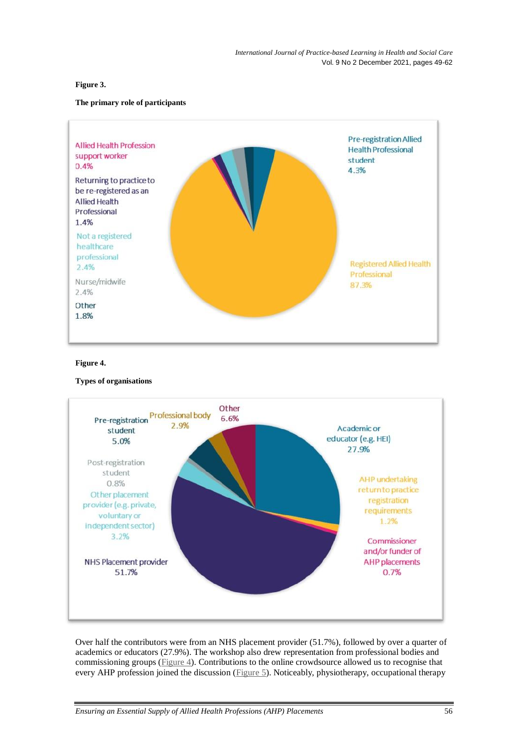## <span id="page-7-0"></span>**Figure 3.**

## **The primary role of participants**



#### <span id="page-7-1"></span>**Figure 4.**

## **Types of organisations**



Over half the contributors were from an NHS placement provider (51.7%), followed by over a quarter of academics or educators (27.9%). The workshop also drew representation from professional bodies and commissioning groups [\(Figure 4\)](#page-7-1). Contributions to the online crowdsource allowed us to recognise that every AHP profession joined the discussion [\(Figure 5\)](#page-8-0). Noticeably, physiotherapy, occupational therapy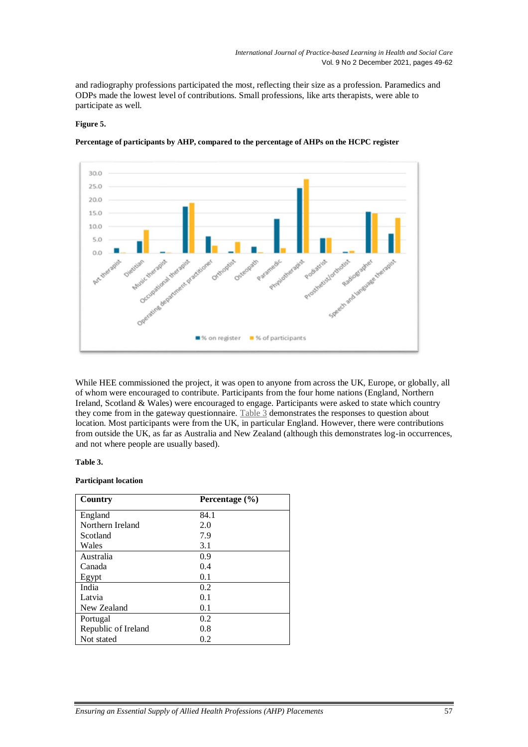and radiography professions participated the most, reflecting their size as a profession. Paramedics and ODPs made the lowest level of contributions. Small professions, like arts therapists, were able to participate as well.

## <span id="page-8-0"></span>**Figure 5.**



**Percentage of participants by AHP, compared to the percentage of AHPs on the HCPC register**

While HEE commissioned the project, it was open to anyone from across the UK, Europe, or globally, all of whom were encouraged to contribute. Participants from the four home nations (England, Northern Ireland, Scotland & Wales) were encouraged to engage. Participants were asked to state which country they come from in the gateway questionnaire. [Table](#page-8-1) 3 demonstrates the responses to question about location. Most participants were from the UK, in particular England. However, there were contributions from outside the UK, as far as Australia and New Zealand (although this demonstrates log-in occurrences, and not where people are usually based).

#### <span id="page-8-1"></span>**Table 3.**

#### **Participant location**

| Country             | Percentage $(\% )$ |
|---------------------|--------------------|
| England             | 84.1               |
| Northern Ireland    | 2.0                |
| Scotland            | 7.9                |
| Wales               | 3.1                |
| Australia           | 0.9                |
| Canada              | 0.4                |
| Egypt               | 0.1                |
| India               | 0.2                |
| Latvia              | 0.1                |
| New Zealand         | 0.1                |
| Portugal            | 0.2                |
| Republic of Ireland | 0.8                |
| Not stated          | 0.2                |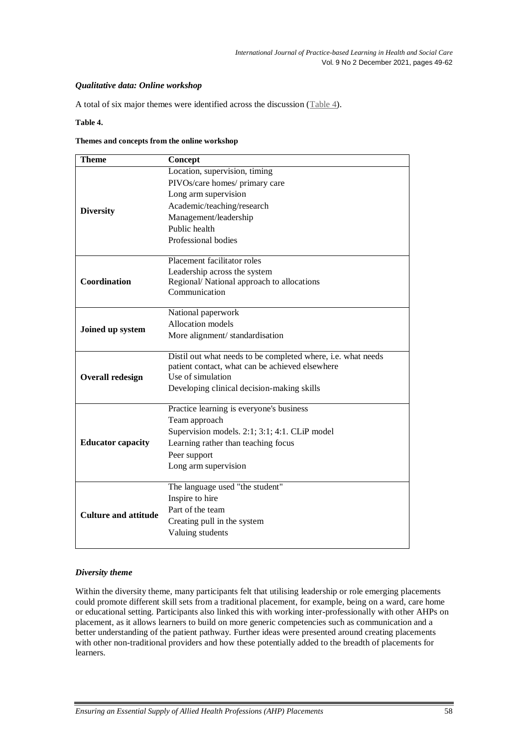## *Qualitative data: Online workshop*

A total of six major themes were identified across the discussion [\(Table](#page-9-0) 4).

## <span id="page-9-0"></span>**Table 4.**

#### **Themes and concepts from the online workshop**

| <b>Theme</b>                | Concept                                                                                                         |
|-----------------------------|-----------------------------------------------------------------------------------------------------------------|
|                             | Location, supervision, timing                                                                                   |
|                             | PIVOs/care homes/ primary care                                                                                  |
|                             | Long arm supervision                                                                                            |
|                             | Academic/teaching/research                                                                                      |
| <b>Diversity</b>            | Management/leadership                                                                                           |
|                             | Public health                                                                                                   |
|                             | Professional bodies                                                                                             |
|                             | Placement facilitator roles                                                                                     |
|                             | Leadership across the system                                                                                    |
| Coordination                | Regional/ National approach to allocations                                                                      |
|                             | Communication                                                                                                   |
|                             | National paperwork                                                                                              |
| Joined up system            | <b>Allocation</b> models                                                                                        |
|                             | More alignment/standardisation                                                                                  |
|                             | Distil out what needs to be completed where, i.e. what needs<br>patient contact, what can be achieved elsewhere |
| <b>Overall redesign</b>     | Use of simulation                                                                                               |
|                             | Developing clinical decision-making skills                                                                      |
|                             | Practice learning is everyone's business                                                                        |
|                             | Team approach                                                                                                   |
|                             | Supervision models. 2:1; 3:1; 4:1. CLiP model                                                                   |
| <b>Educator capacity</b>    | Learning rather than teaching focus                                                                             |
|                             | Peer support                                                                                                    |
|                             | Long arm supervision                                                                                            |
|                             | The language used "the student"                                                                                 |
|                             | Inspire to hire                                                                                                 |
|                             | Part of the team                                                                                                |
| <b>Culture and attitude</b> |                                                                                                                 |
|                             | Creating pull in the system                                                                                     |
|                             | Valuing students                                                                                                |

## *Diversity theme*

Within the diversity theme, many participants felt that utilising leadership or role emerging placements could promote different skill sets from a traditional placement, for example, being on a ward, care home or educational setting. Participants also linked this with working inter-professionally with other AHPs on placement, as it allows learners to build on more generic competencies such as communication and a better understanding of the patient pathway. Further ideas were presented around creating placements with other non-traditional providers and how these potentially added to the breadth of placements for learners.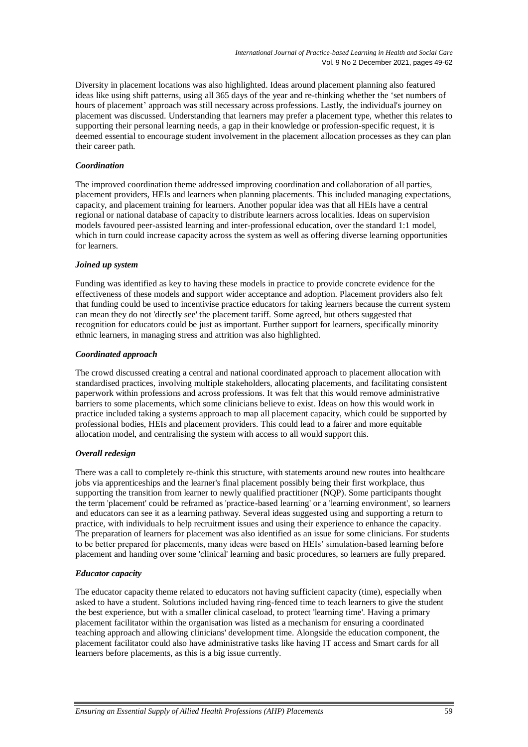Diversity in placement locations was also highlighted. Ideas around placement planning also featured ideas like using shift patterns, using all 365 days of the year and re-thinking whether the 'set numbers of hours of placement' approach was still necessary across professions. Lastly, the individual's journey on placement was discussed. Understanding that learners may prefer a placement type, whether this relates to supporting their personal learning needs, a gap in their knowledge or profession-specific request, it is deemed essential to encourage student involvement in the placement allocation processes as they can plan their career path.

## *Coordination*

The improved coordination theme addressed improving coordination and collaboration of all parties, placement providers, HEIs and learners when planning placements. This included managing expectations, capacity, and placement training for learners. Another popular idea was that all HEIs have a central regional or national database of capacity to distribute learners across localities. Ideas on supervision models favoured peer-assisted learning and inter-professional education, over the standard 1:1 model, which in turn could increase capacity across the system as well as offering diverse learning opportunities for learners.

## *Joined up system*

Funding was identified as key to having these models in practice to provide concrete evidence for the effectiveness of these models and support wider acceptance and adoption. Placement providers also felt that funding could be used to incentivise practice educators for taking learners because the current system can mean they do not 'directly see' the placement tariff. Some agreed, but others suggested that recognition for educators could be just as important. Further support for learners, specifically minority ethnic learners, in managing stress and attrition was also highlighted.

## *Coordinated approach*

The crowd discussed creating a central and national coordinated approach to placement allocation with standardised practices, involving multiple stakeholders, allocating placements, and facilitating consistent paperwork within professions and across professions. It was felt that this would remove administrative barriers to some placements, which some clinicians believe to exist. Ideas on how this would work in practice included taking a systems approach to map all placement capacity, which could be supported by professional bodies, HEIs and placement providers. This could lead to a fairer and more equitable allocation model, and centralising the system with access to all would support this.

## *Overall redesign*

There was a call to completely re-think this structure, with statements around new routes into healthcare jobs via apprenticeships and the learner's final placement possibly being their first workplace, thus supporting the transition from learner to newly qualified practitioner (NQP). Some participants thought the term 'placement' could be reframed as 'practice-based learning' or a 'learning environment', so learners and educators can see it as a learning pathway. Several ideas suggested using and supporting a return to practice, with individuals to help recruitment issues and using their experience to enhance the capacity. The preparation of learners for placement was also identified as an issue for some clinicians. For students to be better prepared for placements, many ideas were based on HEIs' simulation-based learning before placement and handing over some 'clinical' learning and basic procedures, so learners are fully prepared.

## *Educator capacity*

The educator capacity theme related to educators not having sufficient capacity (time), especially when asked to have a student. Solutions included having ring-fenced time to teach learners to give the student the best experience, but with a smaller clinical caseload, to protect 'learning time'. Having a primary placement facilitator within the organisation was listed as a mechanism for ensuring a coordinated teaching approach and allowing clinicians' development time. Alongside the education component, the placement facilitator could also have administrative tasks like having IT access and Smart cards for all learners before placements, as this is a big issue currently.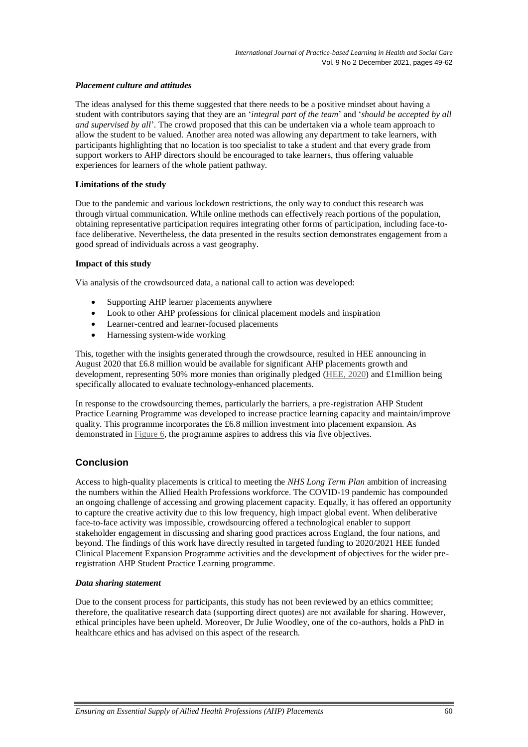## *Placement culture and attitudes*

The ideas analysed for this theme suggested that there needs to be a positive mindset about having a student with contributors saying that they are an '*integral part of the team*' and '*should be accepted by all and supervised by all*'. The crowd proposed that this can be undertaken via a whole team approach to allow the student to be valued. Another area noted was allowing any department to take learners, with participants highlighting that no location is too specialist to take a student and that every grade from support workers to AHP directors should be encouraged to take learners, thus offering valuable experiences for learners of the whole patient pathway.

#### **Limitations of the study**

Due to the pandemic and various lockdown restrictions, the only way to conduct this research was through virtual communication. While online methods can effectively reach portions of the population, obtaining representative participation requires integrating other forms of participation, including face-toface deliberative. Nevertheless, the data presented in the results section demonstrates engagement from a good spread of individuals across a vast geography.

#### **Impact of this study**

Via analysis of the crowdsourced data, a national call to action was developed:

- Supporting AHP learner placements anywhere
- Look to other AHP professions for clinical placement models and inspiration
- Learner-centred and learner-focused placements
- Harnessing system-wide working

This, together with the insights generated through the crowdsource, resulted in HEE announcing in August 2020 that £6.8 million would be available for significant AHP placements growth and development, representing 50% more monies than originally pledged [\(HEE, 2020\)](#page-13-3) and £1million being specifically allocated to evaluate technology-enhanced placements.

In response to the crowdsourcing themes, particularly the barriers, a pre-registration AHP Student Practice Learning Programme was developed to increase practice learning capacity and maintain/improve quality. This programme incorporates the £6.8 million investment into placement expansion. As demonstrated i[n Figure 6,](#page-12-2) the programme aspires to address this via five objectives.

# **Conclusion**

Access to high-quality placements is critical to meeting the *NHS Long Term Plan* ambition of increasing the numbers within the Allied Health Professions workforce. The COVID-19 pandemic has compounded an ongoing challenge of accessing and growing placement capacity. Equally, it has offered an opportunity to capture the creative activity due to this low frequency, high impact global event. When deliberative face-to-face activity was impossible, crowdsourcing offered a technological enabler to support stakeholder engagement in discussing and sharing good practices across England, the four nations, and beyond. The findings of this work have directly resulted in targeted funding to 2020/2021 HEE funded Clinical Placement Expansion Programme activities and the development of objectives for the wider preregistration AHP Student Practice Learning programme.

## *Data sharing statement*

Due to the consent process for participants, this study has not been reviewed by an ethics committee; therefore, the qualitative research data (supporting direct quotes) are not available for sharing. However, ethical principles have been upheld. Moreover, Dr Julie Woodley, one of the co-authors, holds a PhD in healthcare ethics and has advised on this aspect of the research.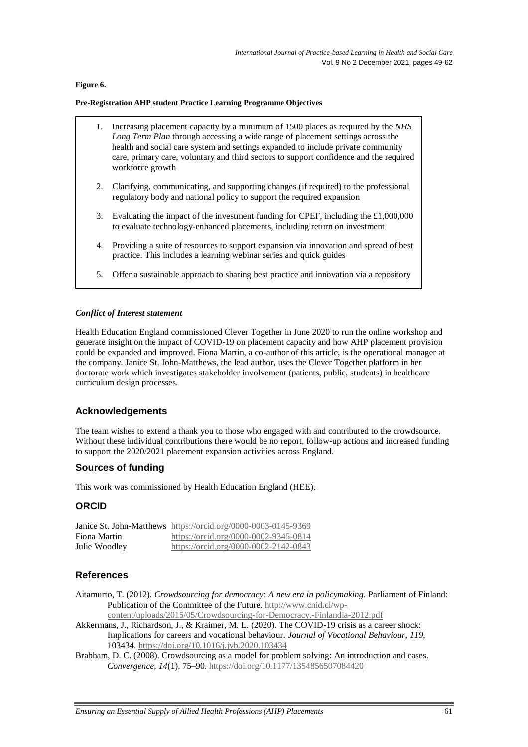## <span id="page-12-2"></span>**Figure 6.**

#### **Pre-Registration AHP student Practice Learning Programme Objectives**

- 1. Increasing placement capacity by a minimum of 1500 places as required by the *NHS Long Term Plan* through accessing a wide range of placement settings across the health and social care system and settings expanded to include private community care, primary care, voluntary and third sectors to support confidence and the required workforce growth
- 2. Clarifying, communicating, and supporting changes (if required) to the professional regulatory body and national policy to support the required expansion
- 3. Evaluating the impact of the investment funding for CPEF, including the £1,000,000 to evaluate technology-enhanced placements, including return on investment
- 4. Providing a suite of resources to support expansion via innovation and spread of best practice. This includes a learning webinar series and quick guides
- 5. Offer a sustainable approach to sharing best practice and innovation via a repository

## *Conflict of Interest statement*

Health Education England commissioned Clever Together in June 2020 to run the online workshop and generate insight on the impact of COVID-19 on placement capacity and how AHP placement provision could be expanded and improved. Fiona Martin, a co-author of this article, is the operational manager at the company. Janice St. John-Matthews, the lead author, uses the Clever Together platform in her doctorate work which investigates stakeholder involvement (patients, public, students) in healthcare curriculum design processes.

# **Acknowledgements**

The team wishes to extend a thank you to those who engaged with and contributed to the crowdsource. Without these individual contributions there would be no report, follow-up actions and increased funding to support the 2020/2021 placement expansion activities across England.

## **Sources of funding**

This work was commissioned by Health Education England (HEE).

# **ORCID**

|               | Janice St. John-Matthews https://orcid.org/0000-0003-0145-9369 |
|---------------|----------------------------------------------------------------|
| Fiona Martin  | https://orcid.org/0000-0002-9345-0814                          |
| Julie Woodley | https://orcid.org/0000-0002-2142-0843                          |

# **References**

<span id="page-12-1"></span>Aitamurto, T. (2012). *Crowdsourcing for democracy: A new era in policymaking*. Parliament of Finland: Publication of the Committee of the Future. [http://www.cnid.cl/wp-](http://www.cnid.cl/wp-content/uploads/2015/05/Crowdsourcing-for-Democracy.-Finlandia-2012.pdf)

[content/uploads/2015/05/Crowdsourcing-for-Democracy.-Finlandia-2012.pdf](http://www.cnid.cl/wp-content/uploads/2015/05/Crowdsourcing-for-Democracy.-Finlandia-2012.pdf)

- <span id="page-12-0"></span>Akkermans, J., Richardson, J., & Kraimer, M. L. (2020). The COVID-19 crisis as a career shock: Implications for careers and vocational behaviour. *Journal of Vocational Behaviour*, *119*, 103434.<https://doi.org/10.1016/j.jvb.2020.103434>
- Brabham, D. C. (2008). Crowdsourcing as a model for problem solving: An introduction and cases. *Convergence, 14*(1), 75–90[. https://doi.org/10.1177/1354856507084420](https://doi.org/10.1177/1354856507084420)